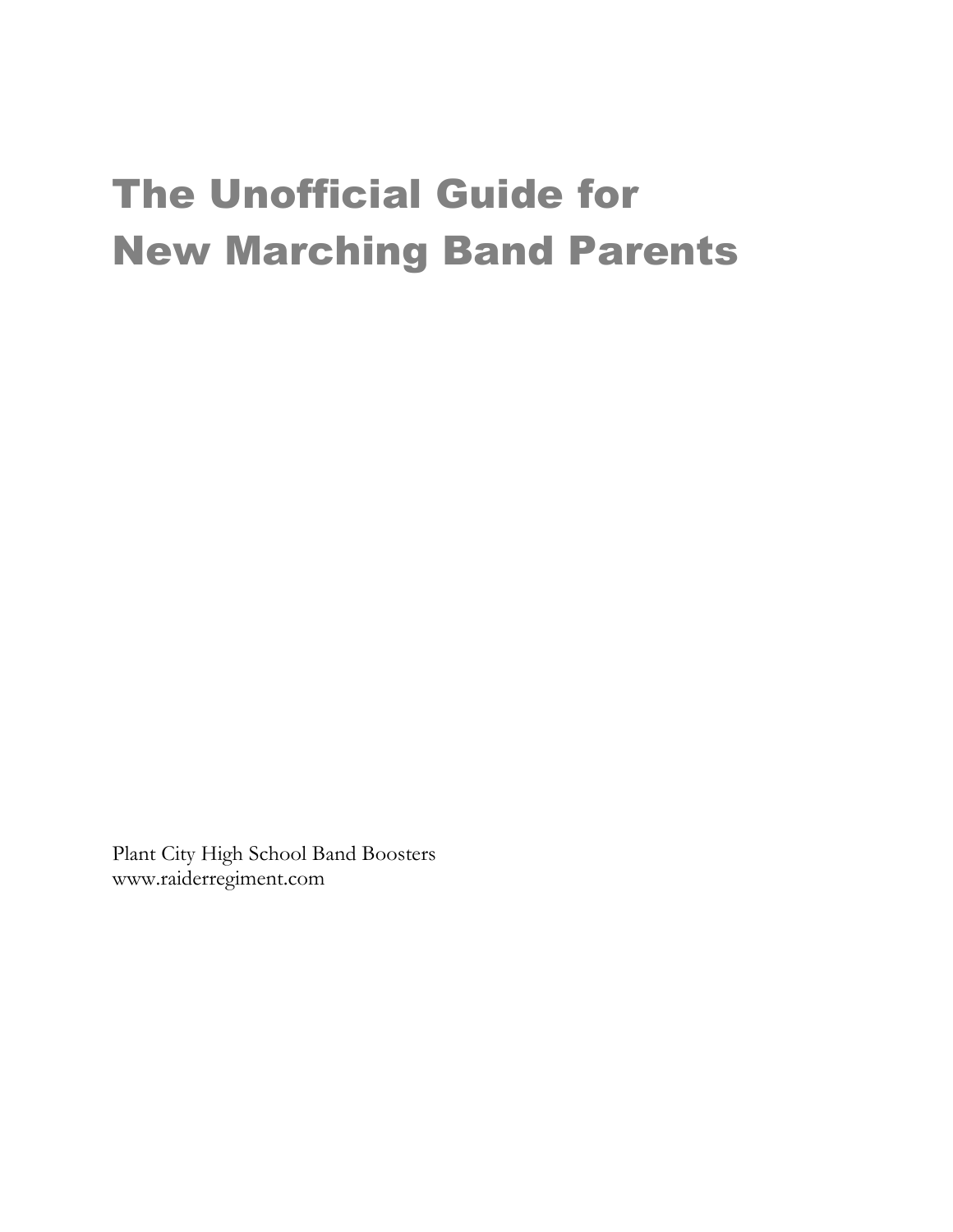# The Unofficial Guide for New Marching Band Parents

Plant City High School Band Boosters www.raiderregiment.com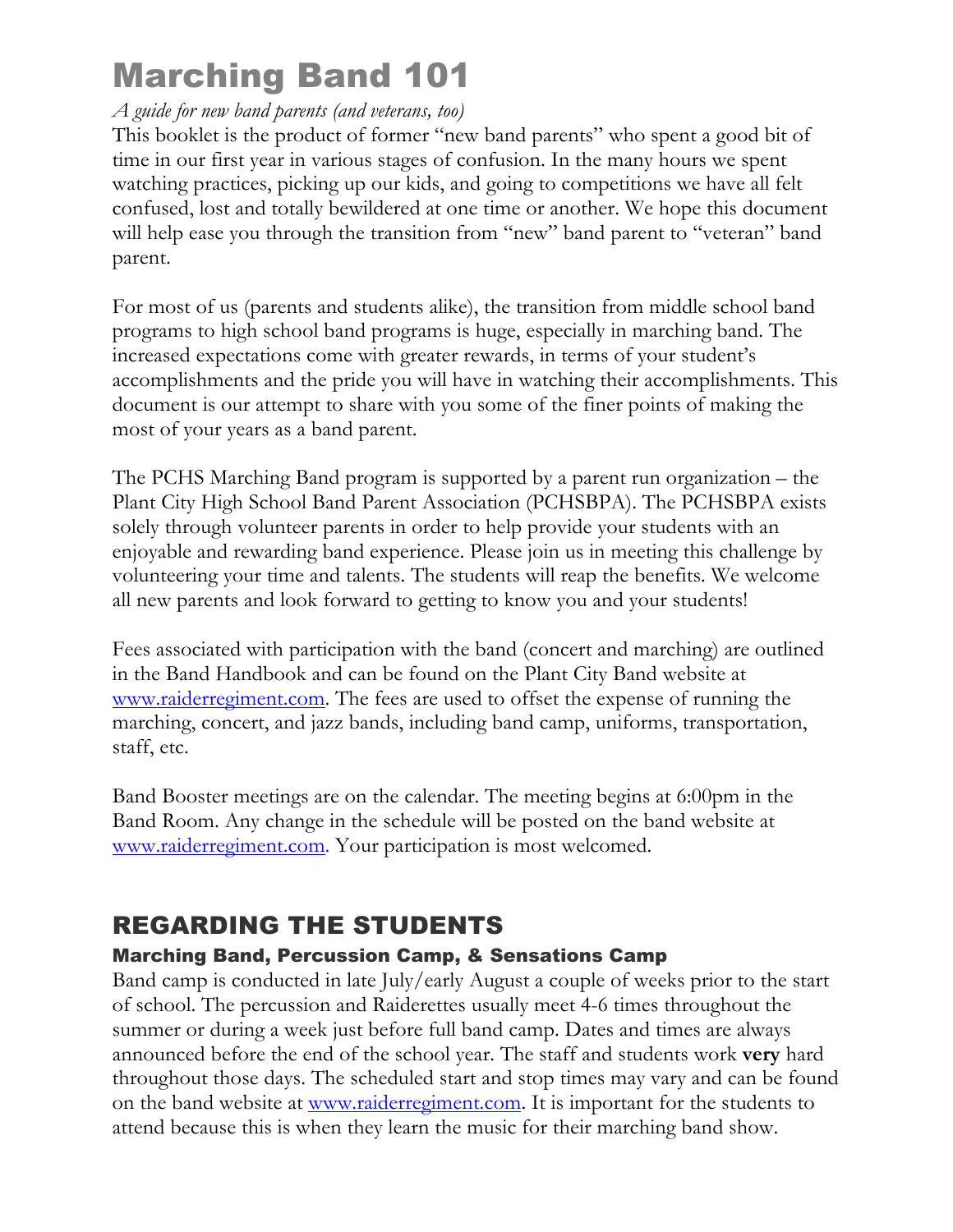## Marching Band 101

#### *A guide for new band parents (and veterans, too)*

This booklet is the product of former "new band parents" who spent a good bit of time in our first year in various stages of confusion. In the many hours we spent watching practices, picking up our kids, and going to competitions we have all felt confused, lost and totally bewildered at one time or another. We hope this document will help ease you through the transition from "new" band parent to "veteran" band parent.

For most of us (parents and students alike), the transition from middle school band programs to high school band programs is huge, especially in marching band. The increased expectations come with greater rewards, in terms of your student's accomplishments and the pride you will have in watching their accomplishments. This document is our attempt to share with you some of the finer points of making the most of your years as a band parent.

The PCHS Marching Band program is supported by a parent run organization – the Plant City High School Band Parent Association (PCHSBPA). The PCHSBPA exists solely through volunteer parents in order to help provide your students with an enjoyable and rewarding band experience. Please join us in meeting this challenge by volunteering your time and talents. The students will reap the benefits. We welcome all new parents and look forward to getting to know you and your students!

Fees associated with participation with the band (concert and marching) are outlined in the Band Handbook and can be found on the Plant City Band website at www.raiderregiment.com. The fees are used to offset the expense of running the marching, concert, and jazz bands, including band camp, uniforms, transportation, staff, etc.

Band Booster meetings are on the calendar. The meeting begins at 6:00pm in the Band Room. Any change in the schedule will be posted on the band website at www.raiderregiment.com. Your participation is most welcomed.

## REGARDING THE STUDENTS

#### Marching Band, Percussion Camp, & Sensations Camp

Band camp is conducted in late July/early August a couple of weeks prior to the start of school. The percussion and Raiderettes usually meet 4-6 times throughout the summer or during a week just before full band camp. Dates and times are always announced before the end of the school year. The staff and students work **very** hard throughout those days. The scheduled start and stop times may vary and can be found on the band website at www.raiderregiment.com. It is important for the students to attend because this is when they learn the music for their marching band show.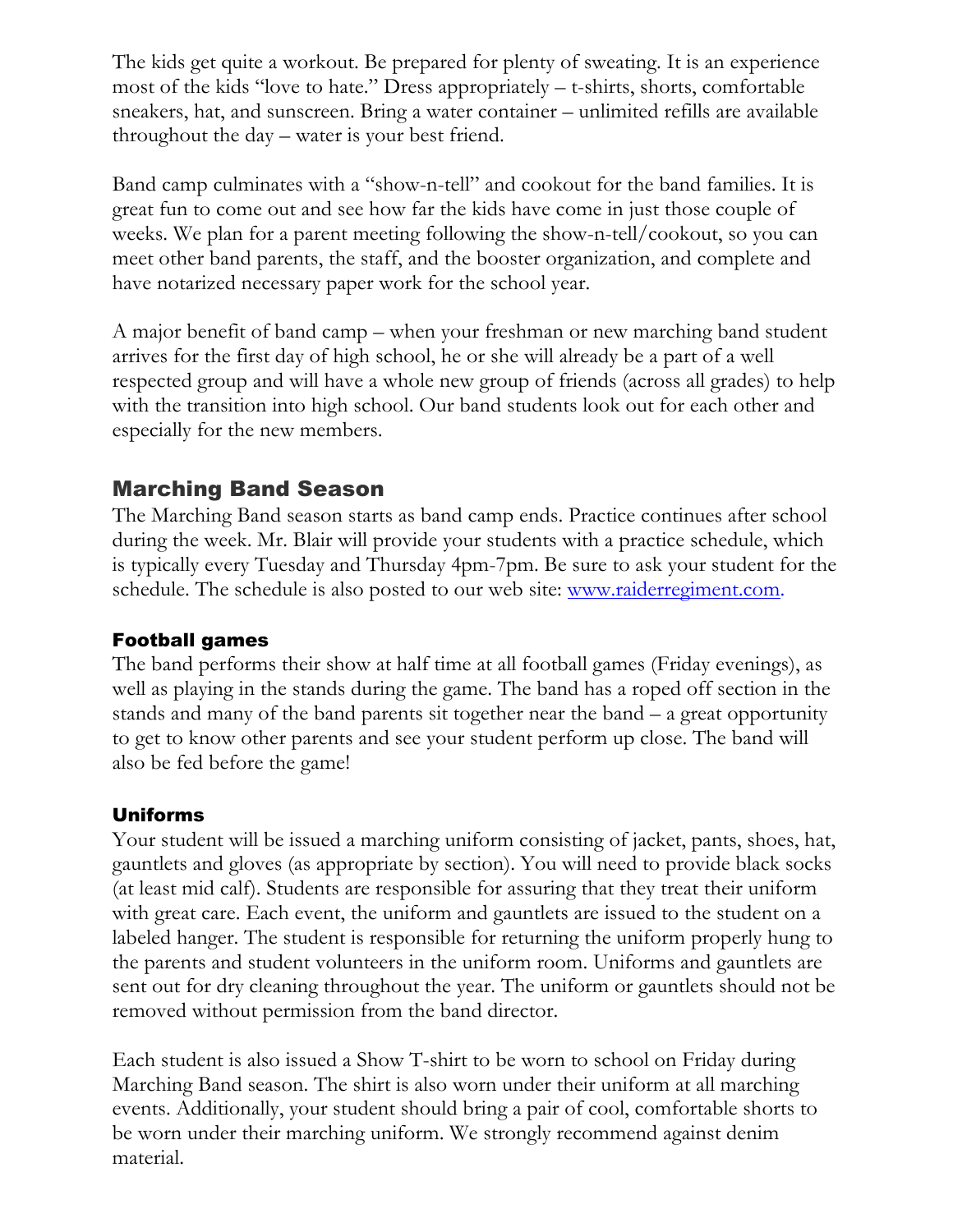The kids get quite a workout. Be prepared for plenty of sweating. It is an experience most of the kids "love to hate." Dress appropriately – t-shirts, shorts, comfortable sneakers, hat, and sunscreen. Bring a water container – unlimited refills are available throughout the day – water is your best friend.

Band camp culminates with a "show-n-tell" and cookout for the band families. It is great fun to come out and see how far the kids have come in just those couple of weeks. We plan for a parent meeting following the show-n-tell/cookout, so you can meet other band parents, the staff, and the booster organization, and complete and have notarized necessary paper work for the school year.

A major benefit of band camp – when your freshman or new marching band student arrives for the first day of high school, he or she will already be a part of a well respected group and will have a whole new group of friends (across all grades) to help with the transition into high school. Our band students look out for each other and especially for the new members.

#### Marching Band Season

The Marching Band season starts as band camp ends. Practice continues after school during the week. Mr. Blair will provide your students with a practice schedule, which is typically every Tuesday and Thursday 4pm-7pm. Be sure to ask your student for the schedule. The schedule is also posted to our web site: www.raiderregiment.com.

#### Football games

The band performs their show at half time at all football games (Friday evenings), as well as playing in the stands during the game. The band has a roped off section in the stands and many of the band parents sit together near the band – a great opportunity to get to know other parents and see your student perform up close. The band will also be fed before the game!

#### Uniforms

Your student will be issued a marching uniform consisting of jacket, pants, shoes, hat, gauntlets and gloves (as appropriate by section). You will need to provide black socks (at least mid calf). Students are responsible for assuring that they treat their uniform with great care. Each event, the uniform and gauntlets are issued to the student on a labeled hanger. The student is responsible for returning the uniform properly hung to the parents and student volunteers in the uniform room. Uniforms and gauntlets are sent out for dry cleaning throughout the year. The uniform or gauntlets should not be removed without permission from the band director.

Each student is also issued a Show T-shirt to be worn to school on Friday during Marching Band season. The shirt is also worn under their uniform at all marching events. Additionally, your student should bring a pair of cool, comfortable shorts to be worn under their marching uniform. We strongly recommend against denim material.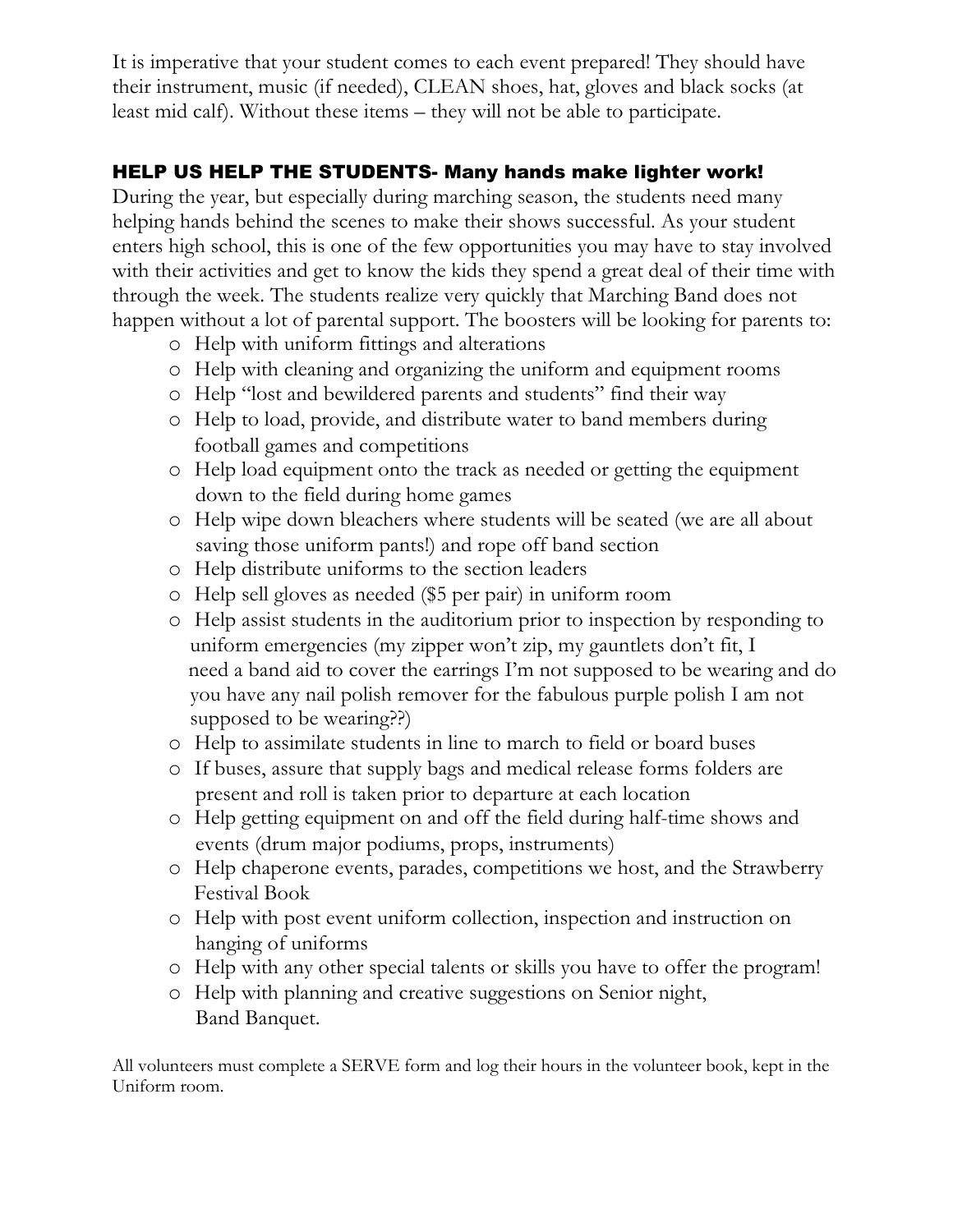It is imperative that your student comes to each event prepared! They should have their instrument, music (if needed), CLEAN shoes, hat, gloves and black socks (at least mid calf). Without these items – they will not be able to participate.

#### HELP US HELP THE STUDENTS- Many hands make lighter work!

During the year, but especially during marching season, the students need many helping hands behind the scenes to make their shows successful. As your student enters high school, this is one of the few opportunities you may have to stay involved with their activities and get to know the kids they spend a great deal of their time with through the week. The students realize very quickly that Marching Band does not happen without a lot of parental support. The boosters will be looking for parents to:

- o Help with uniform fittings and alterations
- o Help with cleaning and organizing the uniform and equipment rooms
- o Help "lost and bewildered parents and students" find their way
- o Help to load, provide, and distribute water to band members during football games and competitions
- o Help load equipment onto the track as needed or getting the equipment down to the field during home games
- o Help wipe down bleachers where students will be seated (we are all about saving those uniform pants!) and rope off band section
- o Help distribute uniforms to the section leaders
- o Help sell gloves as needed (\$5 per pair) in uniform room
- o Help assist students in the auditorium prior to inspection by responding to uniform emergencies (my zipper won't zip, my gauntlets don't fit, I need a band aid to cover the earrings I'm not supposed to be wearing and do you have any nail polish remover for the fabulous purple polish I am not supposed to be wearing??)
- o Help to assimilate students in line to march to field or board buses
- o If buses, assure that supply bags and medical release forms folders are present and roll is taken prior to departure at each location
- o Help getting equipment on and off the field during half-time shows and events (drum major podiums, props, instruments)
- o Help chaperone events, parades, competitions we host, and the Strawberry Festival Book
- o Help with post event uniform collection, inspection and instruction on hanging of uniforms
- o Help with any other special talents or skills you have to offer the program!
- o Help with planning and creative suggestions on Senior night, Band Banquet.

All volunteers must complete a SERVE form and log their hours in the volunteer book, kept in the Uniform room.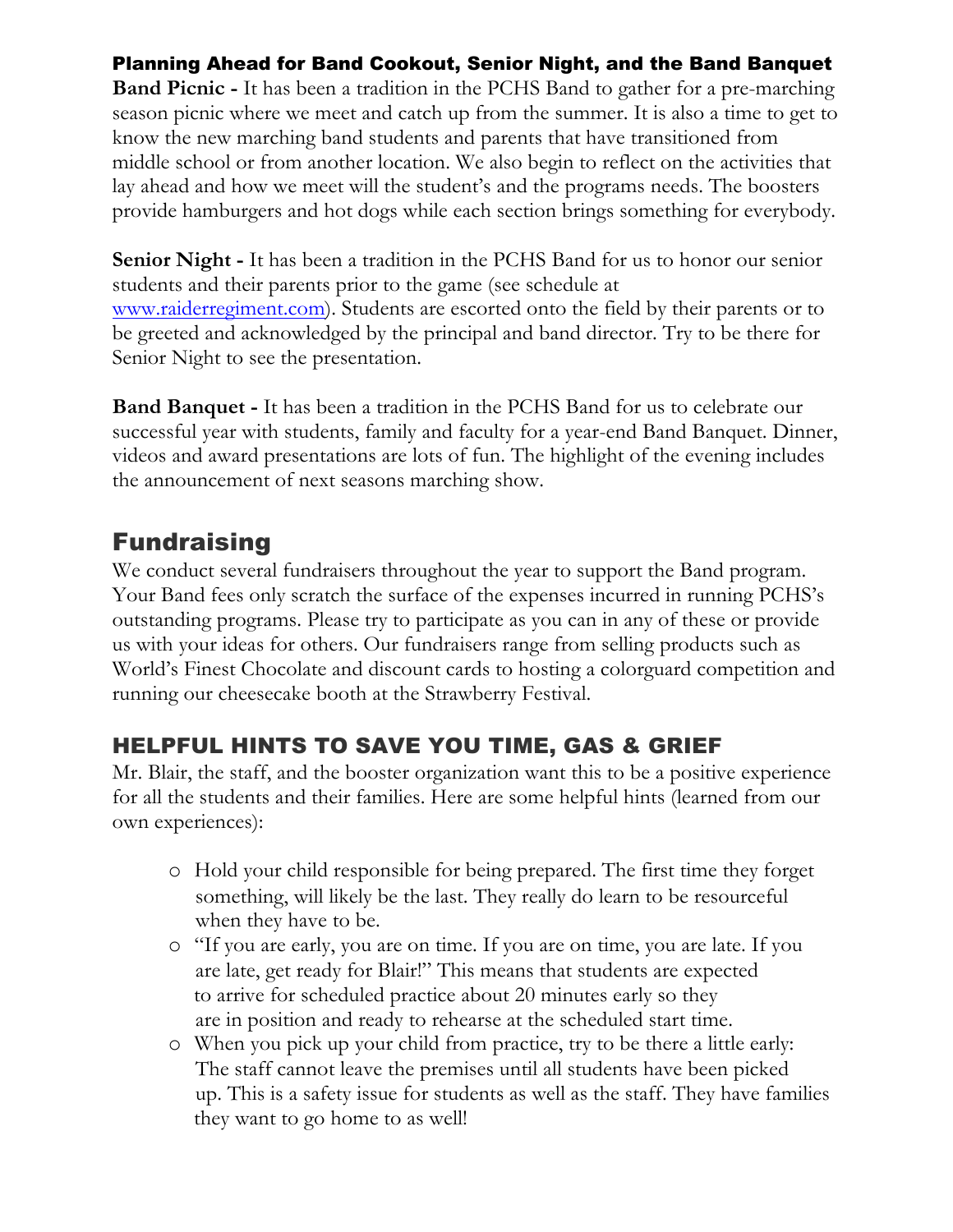#### Planning Ahead for Band Cookout, Senior Night, and the Band Banquet

**Band Picnic -** It has been a tradition in the PCHS Band to gather for a pre-marching season picnic where we meet and catch up from the summer. It is also a time to get to know the new marching band students and parents that have transitioned from middle school or from another location. We also begin to reflect on the activities that lay ahead and how we meet will the student's and the programs needs. The boosters provide hamburgers and hot dogs while each section brings something for everybody.

**Senior Night -** It has been a tradition in the PCHS Band for us to honor our senior students and their parents prior to the game (see schedule at www.raiderregiment.com). Students are escorted onto the field by their parents or to be greeted and acknowledged by the principal and band director. Try to be there for Senior Night to see the presentation.

**Band Banquet -** It has been a tradition in the PCHS Band for us to celebrate our successful year with students, family and faculty for a year-end Band Banquet. Dinner, videos and award presentations are lots of fun. The highlight of the evening includes the announcement of next seasons marching show.

## **Fundraising**

We conduct several fundraisers throughout the year to support the Band program. Your Band fees only scratch the surface of the expenses incurred in running PCHS's outstanding programs. Please try to participate as you can in any of these or provide us with your ideas for others. Our fundraisers range from selling products such as World's Finest Chocolate and discount cards to hosting a colorguard competition and running our cheesecake booth at the Strawberry Festival.

## HELPFUL HINTS TO SAVE YOU TIME, GAS & GRIEF

Mr. Blair, the staff, and the booster organization want this to be a positive experience for all the students and their families. Here are some helpful hints (learned from our own experiences):

- o Hold your child responsible for being prepared. The first time they forget something, will likely be the last. They really do learn to be resourceful when they have to be.
- o "If you are early, you are on time. If you are on time, you are late. If you are late, get ready for Blair!" This means that students are expected to arrive for scheduled practice about 20 minutes early so they are in position and ready to rehearse at the scheduled start time.
- o When you pick up your child from practice, try to be there a little early: The staff cannot leave the premises until all students have been picked up. This is a safety issue for students as well as the staff. They have families they want to go home to as well!